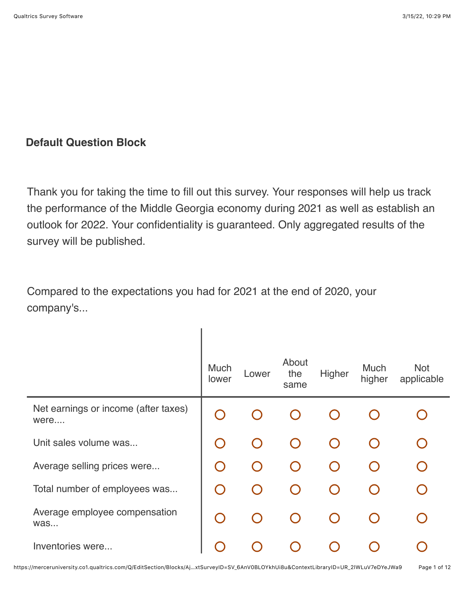## **Default Question Block**

Thank you for taking the time to fill out this survey. Your responses will help us track the performance of the Middle Georgia economy during 2021 as well as establish an outlook for 2022. Your confidentiality is guaranteed. Only aggregated results of the survey will be published.

Compared to the expectations you had for 2021 at the end of 2020, your company's...

|                                              | Much<br>lower                                 | Lower | About<br>the<br>same | Higher | Much<br>higher | <b>Not</b><br>applicable |
|----------------------------------------------|-----------------------------------------------|-------|----------------------|--------|----------------|--------------------------|
| Net earnings or income (after taxes)<br>were |                                               |       |                      |        |                |                          |
| Unit sales volume was                        |                                               |       |                      |        |                |                          |
| Average selling prices were                  | $\bigcap$                                     |       |                      |        |                |                          |
| Total number of employees was                | $\left( \begin{array}{c} \end{array} \right)$ |       |                      |        |                |                          |
| Average employee compensation<br>was         | $\bigcap$                                     |       |                      |        |                |                          |
| Inventories were                             |                                               |       |                      |        |                |                          |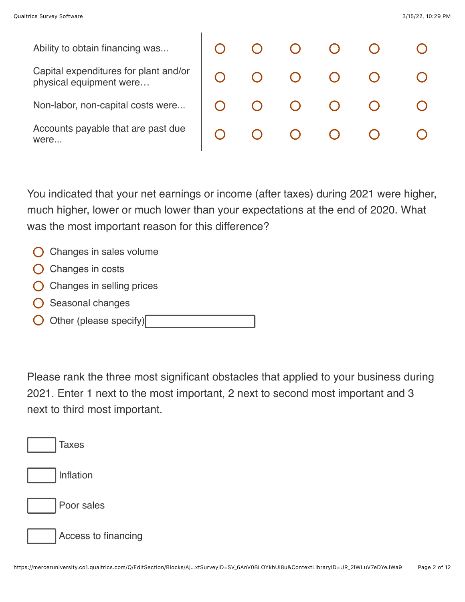were...

Ability to obtain financing was... Capital expenditures for plant and/or physical equipment were… Non-labor, non-capital costs were... Accounts payable that are past due

|  |  | $\begin{array}{ccccccccccccccccc} \circ & \circ & \circ & \circ & \circ & \circ & \circ \end{array}$ |  |
|--|--|------------------------------------------------------------------------------------------------------|--|
|  |  | $\begin{array}{ccccccccccccccccc} \circ & \circ & \circ & \circ & \circ & \circ & \circ \end{array}$ |  |
|  |  | $\begin{array}{ccccccccccccccccc} \circ & \circ & \circ & \circ & \circ & \circ & \circ \end{array}$ |  |
|  |  | $\begin{array}{ccccccccccccccccc} \circ & \circ & \circ & \circ & \circ & \circ & \circ \end{array}$ |  |

You indicated that your net earnings or income (after taxes) during 2021 were higher, much higher, lower or much lower than your expectations at the end of 2020. What was the most important reason for this difference?

- $\bigcirc$  Changes in sales volume
- $\bigcirc$  Changes in costs
- Changes in selling prices
- Seasonal changes
- Other (please specify)

Please rank the three most significant obstacles that applied to your business during 2021. Enter 1 next to the most important, 2 next to second most important and 3 next to third most important.

| <b>Taxes</b>        |
|---------------------|
| Inflation           |
| Poor sales          |
| Access to financing |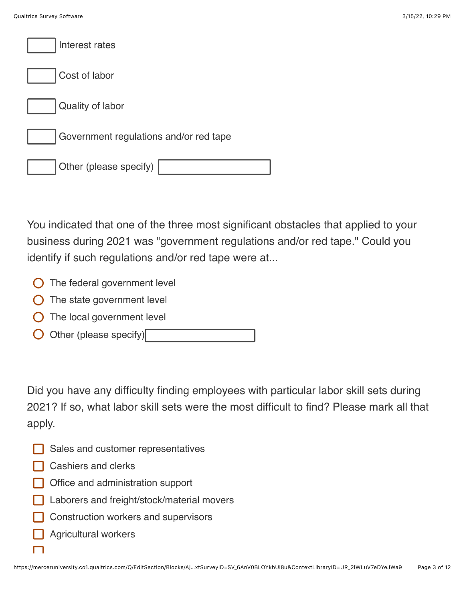| Interest rates                         |
|----------------------------------------|
| Cost of labor                          |
| Quality of labor                       |
| Government regulations and/or red tape |
| Other (please specify)                 |

You indicated that one of the three most significant obstacles that applied to your business during 2021 was "government regulations and/or red tape." Could you identify if such regulations and/or red tape were at...

- **O** The federal government level
- $\bigcirc$  The state government level
- $\bigcirc$  The local government level
- Other (please specify)

Did you have any difficulty finding employees with particular labor skill sets during 2021? If so, what labor skill sets were the most difficult to find? Please mark all that apply.

- Sales and customer representatives
- **□ Cashiers and clerks**
- **Office and administration support**
- Laborers and freight/stock/material movers
- Construction workers and supervisors
- Agricultural workers

 $\Box$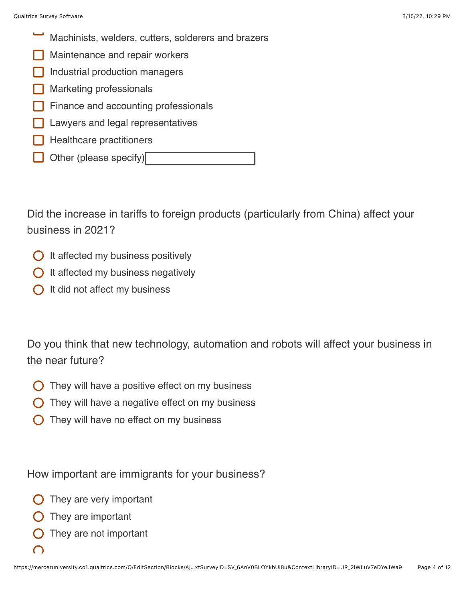- Machinists, welders, cutters, solderers and brazers
- Maintenance and repair workers
- Industrial production managers
- Marketing professionals
- Finance and accounting professionals
- Lawyers and legal representatives
- Healthcare practitioners
- Other (please specify)

Did the increase in tariffs to foreign products (particularly from China) affect your business in 2021?

- $\bigcirc$  It affected my business positively
- $\bigcirc$  It affected my business negatively
- $\bigcap$  It did not affect my business

Do you think that new technology, automation and robots will affect your business in the near future?

- They will have a positive effect on my business
- They will have a negative effect on my business
- They will have no effect on my business

How important are immigrants for your business?

- They are very important
- They are important
- They are not important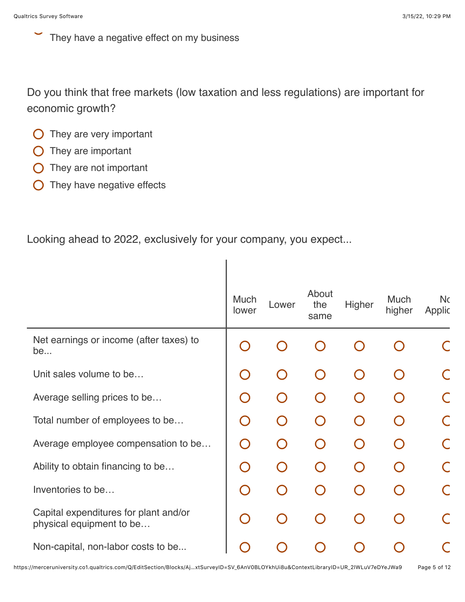They have a negative effect on my business

Do you think that free markets (low taxation and less regulations) are important for economic growth?

I

- $\bigcirc$  They are very important
- $\bigcirc$  They are important
- **O** They are not important
- $\bigcirc$  They have negative effects

Looking ahead to 2022, exclusively for your company, you expect...

|                                                                   | <b>Much</b><br>lower                   | Lower | About<br>the<br>same | Higher    | <b>Much</b><br>higher | <b>Nc</b><br>Applic |
|-------------------------------------------------------------------|----------------------------------------|-------|----------------------|-----------|-----------------------|---------------------|
| Net earnings or income (after taxes) to<br>be                     |                                        |       |                      |           |                       |                     |
| Unit sales volume to be                                           | $\begin{pmatrix} 1 \\ 1 \end{pmatrix}$ |       |                      | $\bigcap$ |                       |                     |
| Average selling prices to be                                      | $\bigcap$                              |       |                      |           |                       |                     |
| Total number of employees to be                                   | $\bigcap$                              |       |                      | $\bigcap$ |                       |                     |
| Average employee compensation to be                               | $\bigcap$                              |       |                      | $\bigcap$ |                       |                     |
| Ability to obtain financing to be                                 | $\bigcap$                              |       |                      | $\bigcap$ |                       |                     |
| Inventories to be                                                 | $\bigcap$                              |       |                      | $\Box$    |                       |                     |
| Capital expenditures for plant and/or<br>physical equipment to be | O                                      |       |                      | $\cap$    |                       |                     |
| Non-capital, non-labor costs to be                                |                                        |       |                      |           |                       |                     |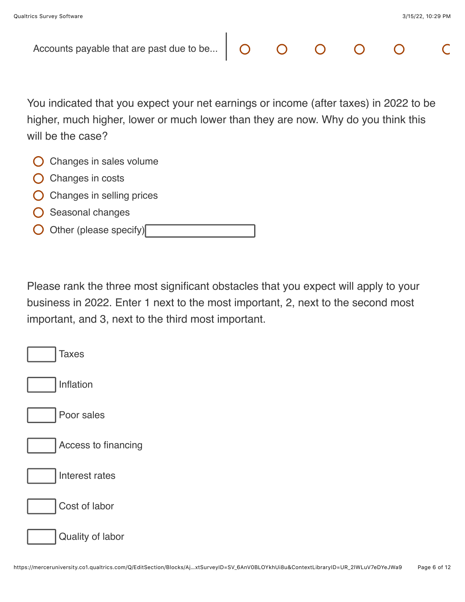| Accounts payable that are past due to be                                                                                                                                                        |  |  |  |
|-------------------------------------------------------------------------------------------------------------------------------------------------------------------------------------------------|--|--|--|
|                                                                                                                                                                                                 |  |  |  |
| You indicated that you expect your net earnings or income (after taxes) in 2022 to be<br>higher, much higher, lower or much lower than they are now. Why do you think this<br>will be the case? |  |  |  |
| Changes in sales volume                                                                                                                                                                         |  |  |  |
| Changes in costs                                                                                                                                                                                |  |  |  |
| Changes in selling prices                                                                                                                                                                       |  |  |  |
| Seasonal changes                                                                                                                                                                                |  |  |  |
| Other (please specify)                                                                                                                                                                          |  |  |  |

Please rank the three most significant obstacles that you expect will apply to your business in 2022. Enter 1 next to the most important, 2, next to the second most important, and 3, next to the third most important.

| <b>Taxes</b>        |
|---------------------|
| Inflation           |
| Poor sales          |
| Access to financing |
| Interest rates      |
| Cost of labor       |
| Quality of labor    |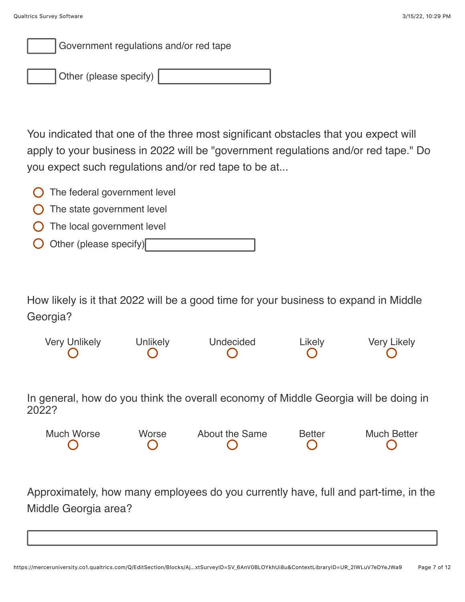

Other (please specify)

You indicated that one of the three most significant obstacles that you expect will apply to your business in 2022 will be "government regulations and/or red tape." Do you expect such regulations and/or red tape to be at...

- $\bigcirc$  The federal government level
- $\bigcirc$  The state government level
- $\bigcirc$  The local government level
- Other (please specify)

How likely is it that 2022 will be a good time for your business to expand in Middle Georgia?

Very Unlikely Unlikely Undecided Likely Very Likely

In general, how do you think the overall economy of Middle Georgia will be doing in 2022?

| Much Worse | Worse | About the Same | <b>Better</b> | <b>Much Better</b> |
|------------|-------|----------------|---------------|--------------------|
|            |       |                |               |                    |

Approximately, how many employees do you currently have, full and part-time, in the Middle Georgia area?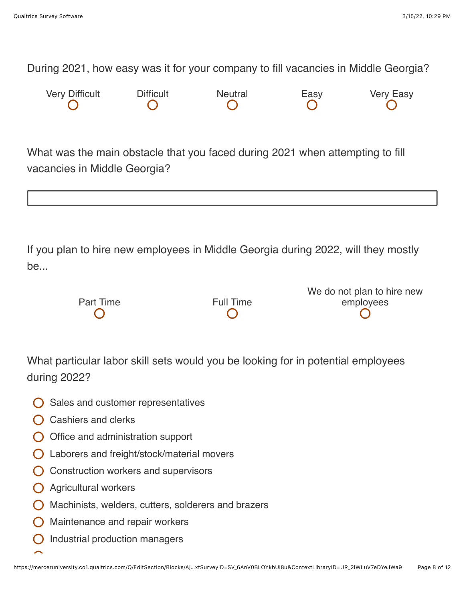During 2021, how easy was it for your company to fill vacancies in Middle Georgia?

| <b>Very Difficult</b> | <b>Difficult</b> | Neutral | Easy | <b>Very Easy</b> |
|-----------------------|------------------|---------|------|------------------|
|                       |                  |         |      |                  |

What was the main obstacle that you faced during 2021 when attempting to fill vacancies in Middle Georgia?

If you plan to hire new employees in Middle Georgia during 2022, will they mostly be...

|           |                  | We do not plan to hire new |
|-----------|------------------|----------------------------|
| Part Time | <b>Full Time</b> | employees                  |
|           |                  |                            |
|           |                  |                            |

What particular labor skill sets would you be looking for in potential employees during 2022?

- $\bigcirc$  Sales and customer representatives
- $\bigcap$  Cashiers and clerks
- $\bigcirc$  Office and administration support
- Laborers and freight/stock/material movers
- $\bigcirc$  Construction workers and supervisors
- **O** Agricultural workers
- $\bigcirc$  Machinists, welders, cutters, solderers and brazers
- $\bigcirc$  Maintenance and repair workers
- Industrial production managers $\left( \ \right)$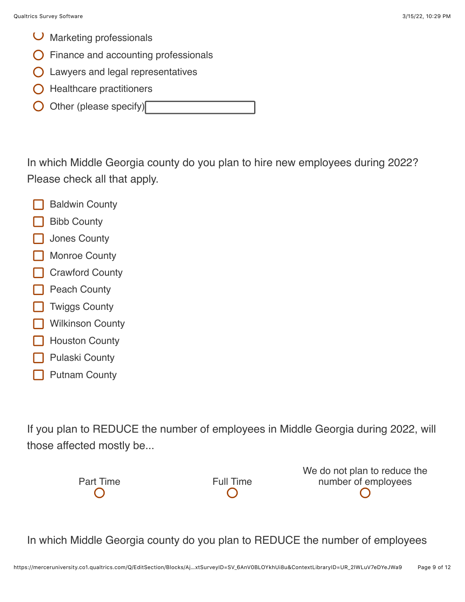- $\cup$  Marketing professionals
- Finance and accounting professionals
- **O** Lawyers and legal representatives
- $\bigcirc$  Healthcare practitioners
- Other (please specify)

In which Middle Georgia county do you plan to hire new employees during 2022? Please check all that apply.

- Baldwin County
- Bibb County
- Jones County
- Monroe County
- Crawford County
- Peach County
- Twiggs County
- Wilkinson County
- Houston County
- Pulaski County
- Putnam County

If you plan to REDUCE the number of employees in Middle Georgia during 2022, will those affected mostly be...



We do not plan to reduce the number of employees

In which Middle Georgia county do you plan to REDUCE the number of employees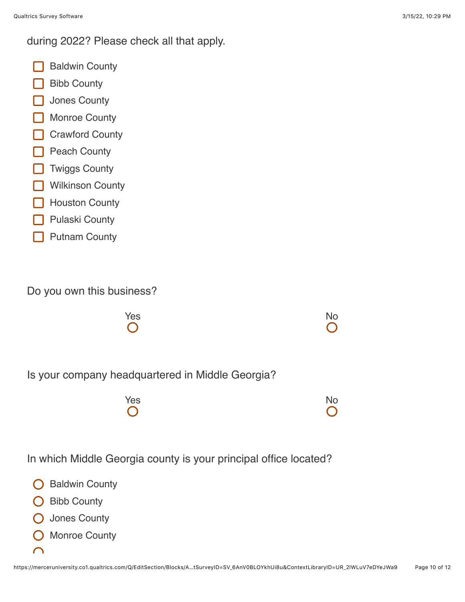during 2022? Please check all that apply.

- Baldwin County
- Bibb County
- Jones County
- Monroe County
- **Crawford County**
- **Peach County**
- **T** Twiggs County
- **Wilkinson County**
- Houston County
- Pulaski County
- Putnam County

Do you own this business?



Is your company headquartered in Middle Georgia?

| Yes        | <b>No</b>  |
|------------|------------|
| $\bigcirc$ | $\bigcirc$ |

In which Middle Georgia county is your principal office located?

- Baldwin County
- **O** Bibb County
- Jones County
- Monroe County
- $\cap$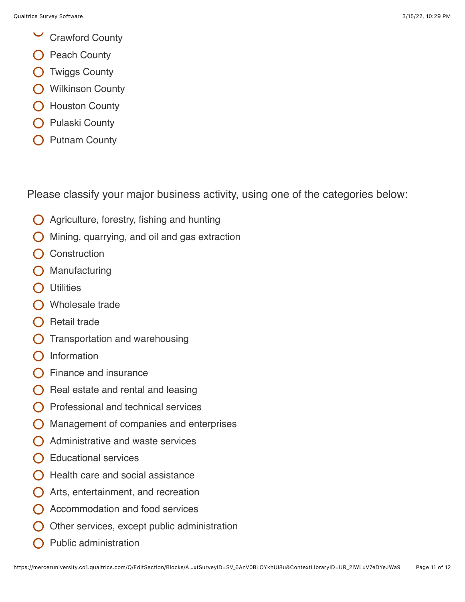- $\checkmark$ Crawford County
- Peach County
- O Twiggs County
- **O** Wilkinson County
- O Houston County
- Pulaski County
- Putnam County

Please classify your major business activity, using one of the categories below:

- $\bigcirc$  Agriculture, forestry, fishing and hunting
- Mining, quarrying, and oil and gas extraction
- **Construction**
- Manufacturing
- **O** Utilities
- O Wholesale trade
- $\bigcap$  Retail trade
- Transportation and warehousing
- Information
- Finance and insurance
- Real estate and rental and leasing
- Professional and technical services
- Management of companies and enterprises
- $\bigcap$  Administrative and waste services
- $\bigcap$  Educational services
- Health care and social assistance
- Arts, entertainment, and recreation
- Accommodation and food services
- Other services, except public administration
- Public administration